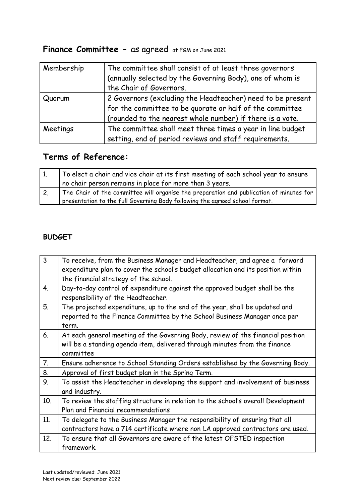# **Finance Committee -** as agreed at FGM on June 2021

| Membership | The committee shall consist of at least three governors<br>(annually selected by the Governing Body), one of whom is<br>the Chair of Governors.                                     |
|------------|-------------------------------------------------------------------------------------------------------------------------------------------------------------------------------------|
| Quorum     | 2 Governors (excluding the Headteacher) need to be present<br>for the committee to be quorate or half of the committee<br>(rounded to the nearest whole number) if there is a vote. |
| Meetings   | The committee shall meet three times a year in line budget<br>setting, end of period reviews and staff requirements.                                                                |

## **Terms of Reference:**

| To elect a chair and vice chair at its first meeting of each school year to ensure      |
|-----------------------------------------------------------------------------------------|
| I no chair person remains in place for more than 3 years.                               |
| The Chair of the committee will organise the preparation and publication of minutes for |
| presentation to the full Governing Body following the agreed school format.             |

### **BUDGET**

| 3   | To receive, from the Business Manager and Headteacher, and agree a forward<br>expenditure plan to cover the school's budget allocation and its position within<br>the financial strategy of the school. |
|-----|---------------------------------------------------------------------------------------------------------------------------------------------------------------------------------------------------------|
| 4.  | Day-to-day control of expenditure against the approved budget shall be the<br>responsibility of the Headteacher.                                                                                        |
| 5.  | The projected expenditure, up to the end of the year, shall be updated and<br>reported to the Finance Committee by the School Business Manager once per<br>term.                                        |
| 6.  | At each general meeting of the Governing Body, review of the financial position<br>will be a standing agenda item, delivered through minutes from the finance<br>committee                              |
| 7.  | Ensure adherence to School Standing Orders established by the Governing Body.                                                                                                                           |
| 8.  | Approval of first budget plan in the Spring Term.                                                                                                                                                       |
| 9.  | To assist the Headteacher in developing the support and involvement of business<br>and industry.                                                                                                        |
| 10. | To review the staffing structure in relation to the school's overall Development<br>Plan and Financial recommendations                                                                                  |
| 11. | To delegate to the Business Manager the responsibility of ensuring that all<br>contractors have a 714 certificate where non LA approved contractors are used.                                           |
| 12. | To ensure that all Governors are aware of the latest OFSTED inspection<br>framework.                                                                                                                    |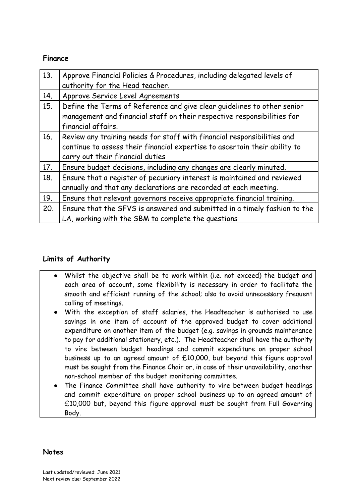#### **Finance**

| 13. | Approve Financial Policies & Procedures, including delegated levels of<br>authority for the Head teacher. |
|-----|-----------------------------------------------------------------------------------------------------------|
| 14. | Approve Service Level Agreements                                                                          |
| 15. | Define the Terms of Reference and give clear guidelines to other senior                                   |
|     | management and financial staff on their respective responsibilities for                                   |
|     | financial affairs.                                                                                        |
| 16. | Review any training needs for staff with financial responsibilities and                                   |
|     | continue to assess their financial expertise to ascertain their ability to                                |
|     | carry out their financial duties                                                                          |
| 17. | Ensure budget decisions, including any changes are clearly minuted.                                       |
| 18. | Ensure that a register of pecuniary interest is maintained and reviewed                                   |
|     | annually and that any declarations are recorded at each meeting.                                          |
| 19. | Ensure that relevant governors receive appropriate financial training.                                    |
| 20. | Ensure that the SFVS is answered and submitted in a timely fashion to the                                 |
|     | LA, working with the SBM to complete the questions                                                        |

### **Limits of Authority**

- Whilst the objective shall be to work within (i.e. not exceed) the budget and each area of account, some flexibility is necessary in order to facilitate the smooth and efficient running of the school; also to avoid unnecessary frequent calling of meetings.
- With the exception of staff salaries, the Headteacher is authorised to use savings in one item of account of the approved budget to cover additional expenditure on another item of the budget (e.g. savings in grounds maintenance to pay for additional stationery, etc.). The Headteacher shall have the authority to vire between budget headings and commit expenditure on proper school business up to an agreed amount of £10,000, but beyond this figure approval must be sought from the Finance Chair or, in case of their unavailability, another non-school member of the budget monitoring committee.
- The Finance Committee shall have authority to vire between budget headings and commit expenditure on proper school business up to an agreed amount of £10,000 but, beyond this figure approval must be sought from Full Governing Body.

#### **Notes**